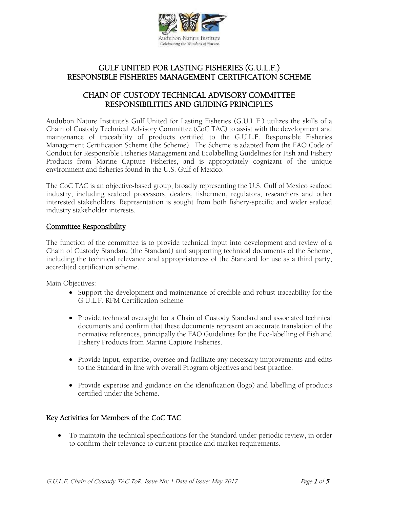

## GULF UNITED FOR LASTING FISHERIES (G.U.L.F.) RESPONSIBLE FISHERIES MANAGEMENT CERTIFICATION SCHEME

### CHAIN OF CUSTODY TECHNICAL ADVISORY COMMITTEE RESPONSIBILITIES AND GUIDING PRINCIPLES

Audubon Nature Institute's Gulf United for Lasting Fisheries (G.U.L.F.) utilizes the skills of a Chain of Custody Technical Advisory Committee (CoC TAC) to assist with the development and maintenance of traceability of products certified to the G.U.L.F. Responsible Fisheries Management Certification Scheme (the Scheme). The Scheme is adapted from the FAO Code of Conduct for Responsible Fisheries Management and Ecolabelling Guidelines for Fish and Fishery Products from Marine Capture Fisheries, and is appropriately cognizant of the unique environment and fisheries found in the U.S. Gulf of Mexico.

The CoC TAC is an objective-based group, broadly representing the U.S. Gulf of Mexico seafood industry, including seafood processors, dealers, fishermen, regulators, researchers and other interested stakeholders. Representation is sought from both fishery-specific and wider seafood industry stakeholder interests.

#### Committee Responsibility

The function of the committee is to provide technical input into development and review of a Chain of Custody Standard (the Standard) and supporting technical documents of the Scheme, including the technical relevance and appropriateness of the Standard for use as a third party, accredited certification scheme.

Main Objectives:

- Support the development and maintenance of credible and robust traceability for the G.U.L.F. RFM Certification Scheme.
- Provide technical oversight for a Chain of Custody Standard and associated technical documents and confirm that these documents represent an accurate translation of the normative references, principally the FAO Guidelines for the Eco-labelling of Fish and Fishery Products from Marine Capture Fisheries.
- Provide input, expertise, oversee and facilitate any necessary improvements and edits to the Standard in line with overall Program objectives and best practice.
- Provide expertise and guidance on the identification (logo) and labelling of products certified under the Scheme.

## Key Activities for Members of the CoC TAC

 To maintain the technical specifications for the Standard under periodic review, in order to confirm their relevance to current practice and market requirements.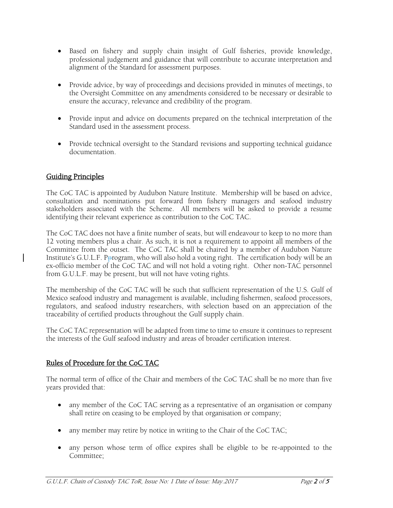- Based on fishery and supply chain insight of Gulf fisheries, provide knowledge, professional judgement and guidance that will contribute to accurate interpretation and alignment of the Standard for assessment purposes.
- Provide advice, by way of proceedings and decisions provided in minutes of meetings, to the Oversight Committee on any amendments considered to be necessary or desirable to ensure the accuracy, relevance and credibility of the program.
- Provide input and advice on documents prepared on the technical interpretation of the Standard used in the assessment process.
- Provide technical oversight to the Standard revisions and supporting technical guidance documentation.

# Guiding Principles

The CoC TAC is appointed by Audubon Nature Institute. Membership will be based on advice, consultation and nominations put forward from fishery managers and seafood industry stakeholders associated with the Scheme. All members will be asked to provide a resume identifying their relevant experience as contribution to the CoC TAC.

The CoC TAC does not have a finite number of seats, but will endeavour to keep to no more than 12 voting members plus a chair. As such, it is not a requirement to appoint all members of the Committee from the outset. The CoC TAC shall be chaired by a member of Audubon Nature Institute's G.U.L.F. Pprogram, who will also hold a voting right. The certification body will be an ex-officio member of the CoC TAC and will not hold a voting right. Other non-TAC personnel from G.U.L.F. may be present, but will not have voting rights.

The membership of the CoC TAC will be such that sufficient representation of the U.S. Gulf of Mexico seafood industry and management is available, including fishermen, seafood processors, regulators, and seafood industry researchers, with selection based on an appreciation of the traceability of certified products throughout the Gulf supply chain.

The CoC TAC representation will be adapted from time to time to ensure it continues to represent the interests of the Gulf seafood industry and areas of broader certification interest.

# Rules of Procedure for the CoC TAC

The normal term of office of the Chair and members of the CoC TAC shall be no more than five years provided that:

- any member of the CoC TAC serving as a representative of an organisation or company shall retire on ceasing to be employed by that organisation or company;
- any member may retire by notice in writing to the Chair of the CoC TAC;
- any person whose term of office expires shall be eligible to be re-appointed to the Committee;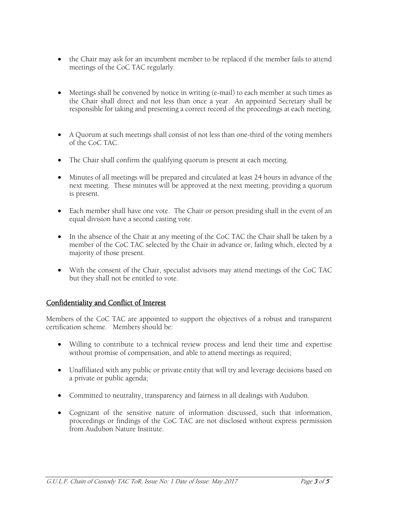- the Chair may ask for an incumbent member to be replaced if the member fails to attend meetings of the CoC TAC regularly.
- Meetings shall be convened by notice in writing (e-mail) to each member at such times as the Chair shall direct and not less than once a year. An appointed Secretary shall be responsible for taking and presenting a correct record of the proceedings at each meeting.
- A Quorum at such meetings shall consist of not less than one-third of the voting members of the CoC TAC.
- The Chair shall confirm the qualifying quorum is present at each meeting.
- Minutes of all meetings will be prepared and circulated at least 24 hours in advance of the next meeting. These minutes will be approved at the next meeting, providing a quorum is present.
- Each member shall have one vote. The Chair or person presiding shall in the event of an equal division have a second casting vote.
- In the absence of the Chair at any meeting of the CoC TAC the Chair shall be taken by a member of the CoC TAC selected by the Chair in advance or, failing which, elected by a majority of those present.
- With the consent of the Chair, specialist advisors may attend meetings of the CoC TAC but they shall not be entitled to vote.

## Confidentiality and Conflict of Interest

Members of the CoC TAC are appointed to support the objectives of a robust and transparent certification scheme. Members should be:

- Willing to contribute to a technical review process and lend their time and expertise without promise of compensation, and able to attend meetings as required;
- Unaffiliated with any public or private entity that will try and leverage decisions based on a private or public agenda;
- Committed to neutrality, transparency and fairness in all dealings with Audubon.
- Cognizant of the sensitive nature of information discussed, such that information, proceedings or findings of the CoC TAC are not disclosed without express permission from Audubon Nature Institute.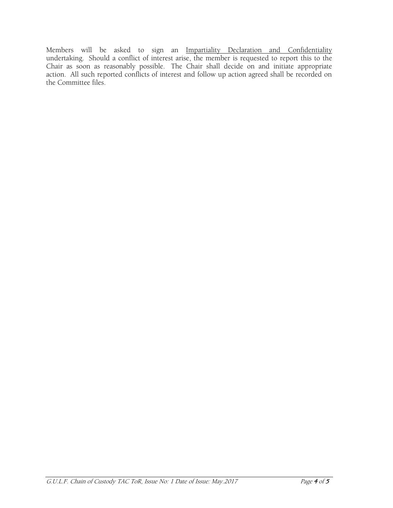Members will be asked to sign an Impartiality Declaration and Confidentiality undertaking. Should a conflict of interest arise, the member is requested to report this to the Chair as soon as reasonably possible. The Chair shall decide on and initiate appropriate action. All such reported conflicts of interest and follow up action agreed shall be recorded on the Committee files.